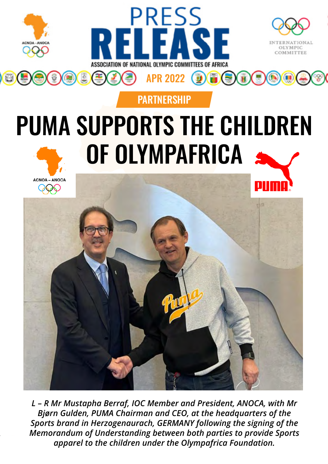



## PUMA SUPPORTS THE CHILDREN OF OLYMPAFRICA

**PARTNERSHIP** 





1 *apparel to the children under the Olympafrica Foundation.L – R Mr Mustapha Berraf, IOC Member and President, ANOCA, with Mr Bjørn Gulden, PUMA Chairman and CEO, at the headquarters of the Sports brand in Herzogenaurach, GERMANY following the signing of the Memorandum of Understanding between both parties to provide Sports*